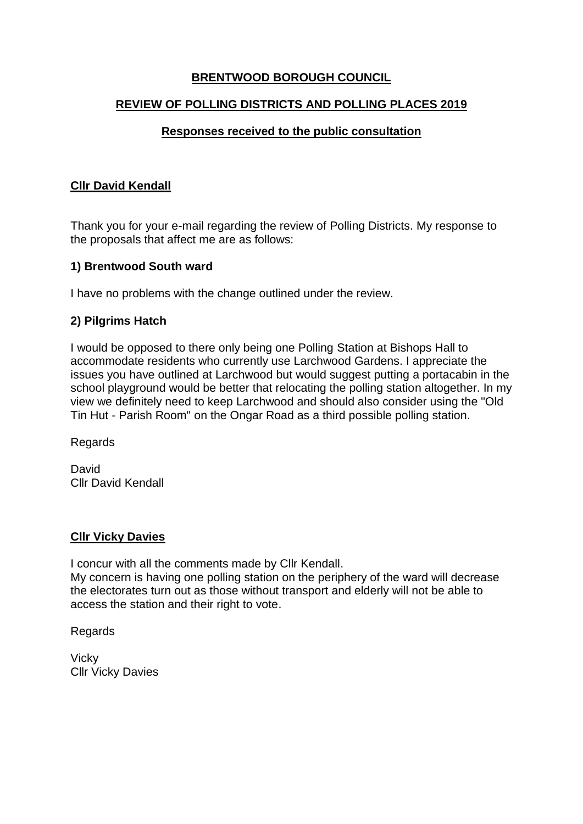# **BRENTWOOD BOROUGH COUNCIL**

### **REVIEW OF POLLING DISTRICTS AND POLLING PLACES 2019**

## **Responses received to the public consultation**

### **Cllr David Kendall**

Thank you for your e-mail regarding the review of Polling Districts. My response to the proposals that affect me are as follows:

### **1) Brentwood South ward**

I have no problems with the change outlined under the review.

### **2) Pilgrims Hatch**

I would be opposed to there only being one Polling Station at Bishops Hall to accommodate residents who currently use Larchwood Gardens. I appreciate the issues you have outlined at Larchwood but would suggest putting a portacabin in the school playground would be better that relocating the polling station altogether. In my view we definitely need to keep Larchwood and should also consider using the "Old Tin Hut - Parish Room" on the Ongar Road as a third possible polling station.

Regards

**David** Cllr David Kendall

#### **Cllr Vicky Davies**

I concur with all the comments made by Cllr Kendall. My concern is having one polling station on the periphery of the ward will decrease the electorates turn out as those without transport and elderly will not be able to access the station and their right to vote.

**Regards** 

**Vicky** Cllr Vicky Davies